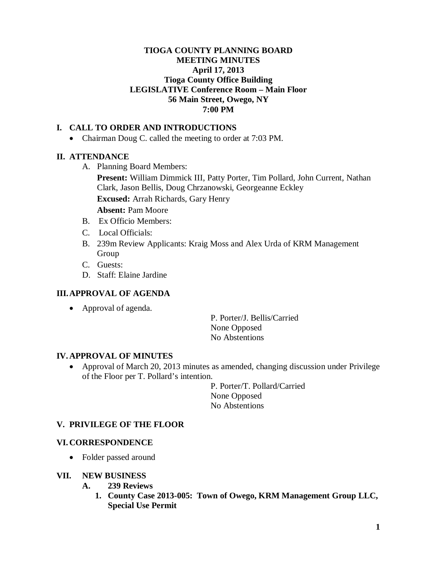### **TIOGA COUNTY PLANNING BOARD MEETING MINUTES April 17, 2013 Tioga County Office Building LEGISLATIVE Conference Room – Main Floor 56 Main Street, Owego, NY 7:00 PM**

# **I. CALL TO ORDER AND INTRODUCTIONS**

• Chairman Doug C. called the meeting to order at 7:03 PM.

# **II. ATTENDANCE**

A. Planning Board Members:

**Present:** William Dimmick III, Patty Porter, Tim Pollard, John Current, Nathan Clark, Jason Bellis, Doug Chrzanowski, Georgeanne Eckley **Excused:** Arrah Richards, Gary Henry

- **Absent:** Pam Moore
- B.Ex Officio Members:
- C. Local Officials:
- B. 239m Review Applicants: Kraig Moss and Alex Urda of KRM Management Group
- C. Guests:
- D. Staff: Elaine Jardine

# **III.APPROVAL OF AGENDA**

• Approval of agenda.

P. Porter/J. Bellis/Carried None Opposed No Abstentions

# **IV. APPROVAL OF MINUTES**

• Approval of March 20, 2013 minutes as amended, changing discussion under Privilege of the Floor per T. Pollard's intention.

> P. Porter/T. Pollard/Carried None Opposed No Abstentions

# **V. PRIVILEGE OF THE FLOOR**

### **VI. CORRESPONDENCE**

• Folder passed around

### **VII. NEW BUSINESS**

- **A. 239 Reviews**
	- **1. County Case 2013-005: Town of Owego, KRM Management Group LLC, Special Use Permit**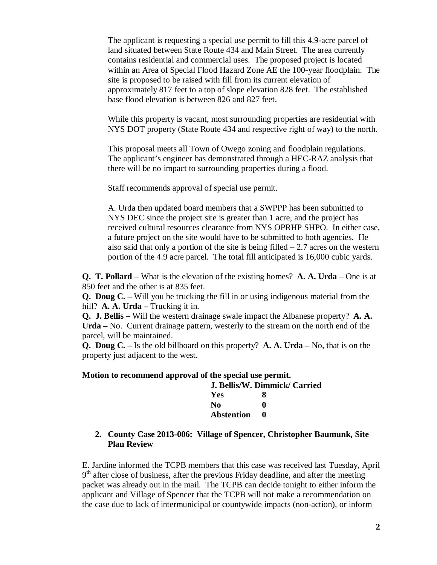The applicant is requesting a special use permit to fill this 4.9-acre parcel of land situated between State Route 434 and Main Street. The area currently contains residential and commercial uses. The proposed project is located within an Area of Special Flood Hazard Zone AE the 100-year floodplain. The site is proposed to be raised with fill from its current elevation of approximately 817 feet to a top of slope elevation 828 feet. The established base flood elevation is between 826 and 827 feet.

While this property is vacant, most surrounding properties are residential with NYS DOT property (State Route 434 and respective right of way) to the north.

This proposal meets all Town of Owego zoning and floodplain regulations. The applicant's engineer has demonstrated through a HEC-RAZ analysis that there will be no impact to surrounding properties during a flood.

Staff recommends approval of special use permit.

A. Urda then updated board members that a SWPPP has been submitted to NYS DEC since the project site is greater than 1 acre, and the project has received cultural resources clearance from NYS OPRHP SHPO. In either case, a future project on the site would have to be submitted to both agencies. He also said that only a portion of the site is being filled  $-2.7$  acres on the western portion of the 4.9 acre parcel. The total fill anticipated is 16,000 cubic yards.

**Q. T. Pollard** – What is the elevation of the existing homes? **A. A. Urda** – One is at 850 feet and the other is at 835 feet.

**Q. Doug C. –** Will you be trucking the fill in or using indigenous material from the hill? **A. A. Urda** – Trucking it in.

**Q. J. Bellis –** Will the western drainage swale impact the Albanese property? **A. A. Urda –** No. Current drainage pattern, westerly to the stream on the north end of the parcel, will be maintained.

**Q. Doug C. –** Is the old billboard on this property? **A. A. Urda –** No, that is on the property just adjacent to the west.

#### **Motion to recommend approval of the special use permit.**

| J. Bellis/W. Dimmick/ Carried |   |
|-------------------------------|---|
| Yes                           | x |
| No.                           | 0 |
| <b>Abstention</b>             |   |

### **2. County Case 2013-006: Village of Spencer, Christopher Baumunk, Site Plan Review**

E. Jardine informed the TCPB members that this case was received last Tuesday, April  $9<sup>th</sup>$  after close of business, after the previous Friday deadline, and after the meeting packet was already out in the mail. The TCPB can decide tonight to either inform the applicant and Village of Spencer that the TCPB will not make a recommendation on the case due to lack of intermunicipal or countywide impacts (non-action), or inform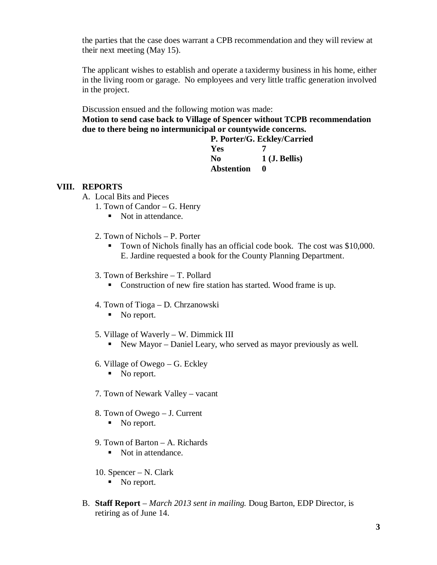the parties that the case does warrant a CPB recommendation and they will review at their next meeting (May 15).

The applicant wishes to establish and operate a taxidermy business in his home, either in the living room or garage. No employees and very little traffic generation involved in the project.

Discussion ensued and the following motion was made: **Motion to send case back to Village of Spencer without TCPB recommendation due to there being no intermunicipal or countywide concerns.**

**P. Porter/G. Eckley/Carried Yes 7 No 1 (J. Bellis) Abstention 0**

#### **VIII. REPORTS**

- A. Local Bits and Pieces
	- 1. Town of Candor G. Henry
		- Not in attendance.
	- 2. Town of Nichols P. Porter
		- Town of Nichols finally has an official code book. The cost was \$10,000. E. Jardine requested a book for the County Planning Department.
	- 3. Town of Berkshire T. Pollard
		- Construction of new fire station has started. Wood frame is up.
	- 4. Town of Tioga D. Chrzanowski
		- No report.
	- 5. Village of Waverly W. Dimmick III
		- New Mayor Daniel Leary, who served as mayor previously as well.
	- 6. Village of Owego G. Eckley
		- No report.
	- 7. Town of Newark Valley vacant
	- 8. Town of Owego J. Current No report.
	- 9. Town of Barton A. Richards
		- Not in attendance.
	- 10. Spencer N. Clark
		- No report.
- B. **Staff Report** *March 2013 sent in mailing.* Doug Barton, EDP Director, is retiring as of June 14.